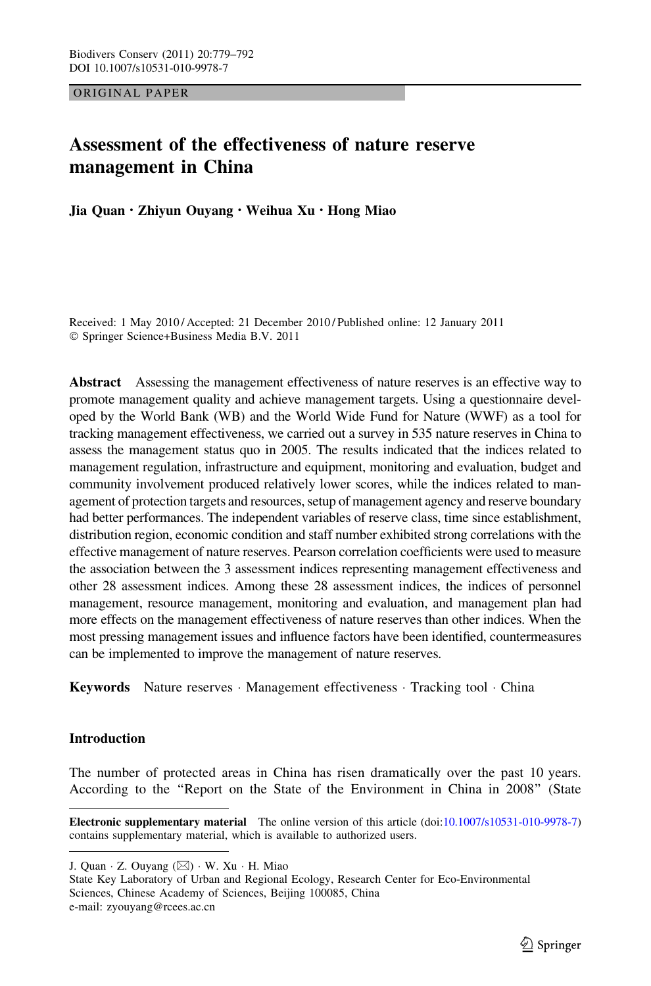ORIGINAL PAPER

# Assessment of the effectiveness of nature reserve management in China

Jia Quan • Zhiyun Ouyang • Weihua Xu • Hong Miao

Received: 1 May 2010 / Accepted: 21 December 2010 / Published online: 12 January 2011 - Springer Science+Business Media B.V. 2011

Abstract Assessing the management effectiveness of nature reserves is an effective way to promote management quality and achieve management targets. Using a questionnaire developed by the World Bank (WB) and the World Wide Fund for Nature (WWF) as a tool for tracking management effectiveness, we carried out a survey in 535 nature reserves in China to assess the management status quo in 2005. The results indicated that the indices related to management regulation, infrastructure and equipment, monitoring and evaluation, budget and community involvement produced relatively lower scores, while the indices related to management of protection targets and resources, setup of management agency and reserve boundary had better performances. The independent variables of reserve class, time since establishment, distribution region, economic condition and staff number exhibited strong correlations with the effective management of nature reserves. Pearson correlation coefficients were used to measure the association between the 3 assessment indices representing management effectiveness and other 28 assessment indices. Among these 28 assessment indices, the indices of personnel management, resource management, monitoring and evaluation, and management plan had more effects on the management effectiveness of nature reserves than other indices. When the most pressing management issues and influence factors have been identified, countermeasures can be implemented to improve the management of nature reserves.

Keywords Nature reserves · Management effectiveness · Tracking tool · China

## Introduction

The number of protected areas in China has risen dramatically over the past 10 years. According to the ''Report on the State of the Environment in China in 2008'' (State

Electronic supplementary material The online version of this article (doi[:10.1007/s10531-010-9978-7\)](http://dx.doi.org/10.1007/s10531-010-9978-7) contains supplementary material, which is available to authorized users.

J. Quan•Z. Ouyang (⊠)•W. Xu•H. Miao

State Key Laboratory of Urban and Regional Ecology, Research Center for Eco-Environmental Sciences, Chinese Academy of Sciences, Beijing 100085, China e-mail: zyouyang@rcees.ac.cn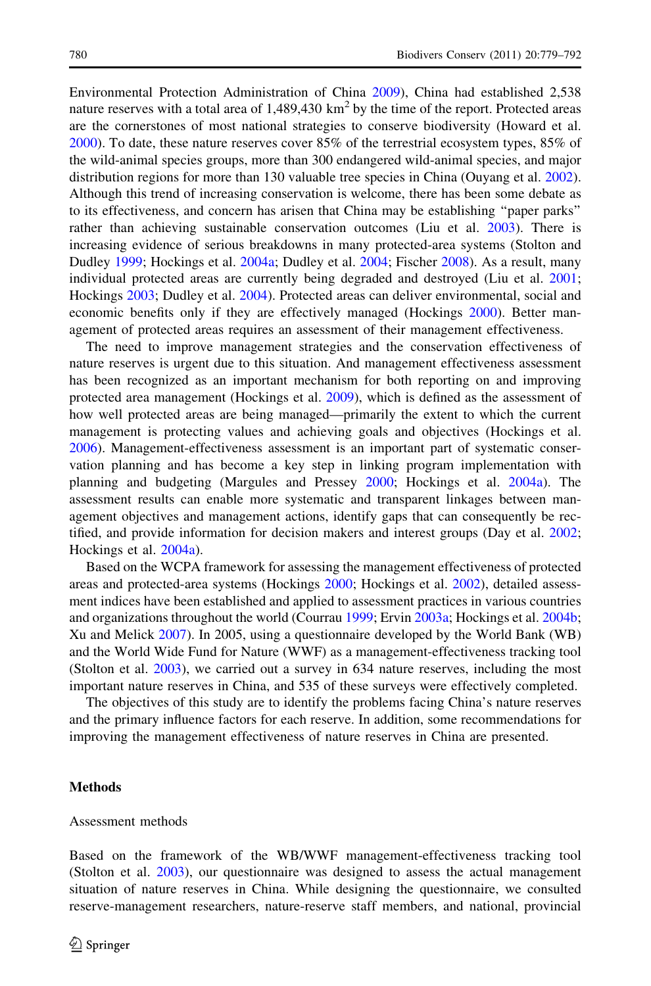Environmental Protection Administration of China [2009](#page-13-0)), China had established 2,538 nature reserves with a total area of  $1,489,430 \text{ km}^2$  by the time of the report. Protected areas are the cornerstones of most national strategies to conserve biodiversity (Howard et al. [2000\)](#page-12-0). To date, these nature reserves cover 85% of the terrestrial ecosystem types, 85% of the wild-animal species groups, more than 300 endangered wild-animal species, and major distribution regions for more than 130 valuable tree species in China (Ouyang et al. [2002](#page-13-0)). Although this trend of increasing conservation is welcome, there has been some debate as to its effectiveness, and concern has arisen that China may be establishing ''paper parks'' rather than achieving sustainable conservation outcomes (Liu et al. [2003](#page-12-0)). There is increasing evidence of serious breakdowns in many protected-area systems (Stolton and Dudley [1999](#page-13-0); Hockings et al. [2004a](#page-12-0); Dudley et al. [2004](#page-12-0); Fischer [2008\)](#page-12-0). As a result, many individual protected areas are currently being degraded and destroyed (Liu et al. [2001;](#page-12-0) Hockings [2003;](#page-12-0) Dudley et al. [2004\)](#page-12-0). Protected areas can deliver environmental, social and economic benefits only if they are effectively managed (Hockings [2000\)](#page-12-0). Better management of protected areas requires an assessment of their management effectiveness.

The need to improve management strategies and the conservation effectiveness of nature reserves is urgent due to this situation. And management effectiveness assessment has been recognized as an important mechanism for both reporting on and improving protected area management (Hockings et al. [2009](#page-12-0)), which is defined as the assessment of how well protected areas are being managed—primarily the extent to which the current management is protecting values and achieving goals and objectives (Hockings et al. [2006\)](#page-12-0). Management-effectiveness assessment is an important part of systematic conservation planning and has become a key step in linking program implementation with planning and budgeting (Margules and Pressey [2000;](#page-12-0) Hockings et al. [2004a\)](#page-12-0). The assessment results can enable more systematic and transparent linkages between management objectives and management actions, identify gaps that can consequently be rectified, and provide information for decision makers and interest groups (Day et al. [2002;](#page-12-0) Hockings et al. [2004a\)](#page-12-0).

Based on the WCPA framework for assessing the management effectiveness of protected areas and protected-area systems (Hockings [2000](#page-12-0); Hockings et al. [2002\)](#page-12-0), detailed assessment indices have been established and applied to assessment practices in various countries and organizations throughout the world (Courrau [1999](#page-11-0); Ervin [2003a](#page-12-0); Hockings et al. [2004b;](#page-12-0) Xu and Melick [2007](#page-13-0)). In 2005, using a questionnaire developed by the World Bank (WB) and the World Wide Fund for Nature (WWF) as a management-effectiveness tracking tool (Stolton et al. [2003\)](#page-13-0), we carried out a survey in 634 nature reserves, including the most important nature reserves in China, and 535 of these surveys were effectively completed.

The objectives of this study are to identify the problems facing China's nature reserves and the primary influence factors for each reserve. In addition, some recommendations for improving the management effectiveness of nature reserves in China are presented.

## **Methods**

## Assessment methods

Based on the framework of the WB/WWF management-effectiveness tracking tool (Stolton et al. [2003\)](#page-13-0), our questionnaire was designed to assess the actual management situation of nature reserves in China. While designing the questionnaire, we consulted reserve-management researchers, nature-reserve staff members, and national, provincial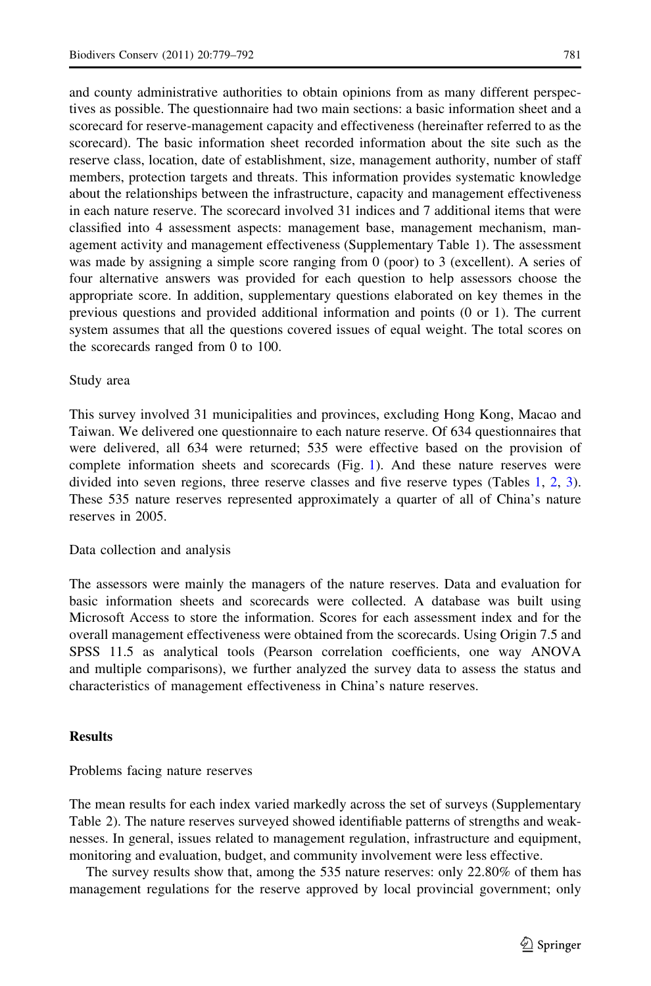and county administrative authorities to obtain opinions from as many different perspectives as possible. The questionnaire had two main sections: a basic information sheet and a scorecard for reserve-management capacity and effectiveness (hereinafter referred to as the scorecard). The basic information sheet recorded information about the site such as the reserve class, location, date of establishment, size, management authority, number of staff members, protection targets and threats. This information provides systematic knowledge about the relationships between the infrastructure, capacity and management effectiveness in each nature reserve. The scorecard involved 31 indices and 7 additional items that were classified into 4 assessment aspects: management base, management mechanism, management activity and management effectiveness (Supplementary Table 1). The assessment was made by assigning a simple score ranging from 0 (poor) to 3 (excellent). A series of four alternative answers was provided for each question to help assessors choose the appropriate score. In addition, supplementary questions elaborated on key themes in the previous questions and provided additional information and points (0 or 1). The current system assumes that all the questions covered issues of equal weight. The total scores on the scorecards ranged from 0 to 100.

## Study area

This survey involved 31 municipalities and provinces, excluding Hong Kong, Macao and Taiwan. We delivered one questionnaire to each nature reserve. Of 634 questionnaires that were delivered, all 634 were returned; 535 were effective based on the provision of complete information sheets and scorecards (Fig. [1\)](#page-3-0). And these nature reserves were divided into seven regions, three reserve classes and five reserve types (Tables [1,](#page-3-0) [2](#page-3-0), [3](#page-4-0)). These 535 nature reserves represented approximately a quarter of all of China's nature reserves in 2005.

## Data collection and analysis

The assessors were mainly the managers of the nature reserves. Data and evaluation for basic information sheets and scorecards were collected. A database was built using Microsoft Access to store the information. Scores for each assessment index and for the overall management effectiveness were obtained from the scorecards. Using Origin 7.5 and SPSS 11.5 as analytical tools (Pearson correlation coefficients, one way ANOVA and multiple comparisons), we further analyzed the survey data to assess the status and characteristics of management effectiveness in China's nature reserves.

## **Results**

## Problems facing nature reserves

The mean results for each index varied markedly across the set of surveys (Supplementary Table 2). The nature reserves surveyed showed identifiable patterns of strengths and weaknesses. In general, issues related to management regulation, infrastructure and equipment, monitoring and evaluation, budget, and community involvement were less effective.

The survey results show that, among the 535 nature reserves: only 22.80% of them has management regulations for the reserve approved by local provincial government; only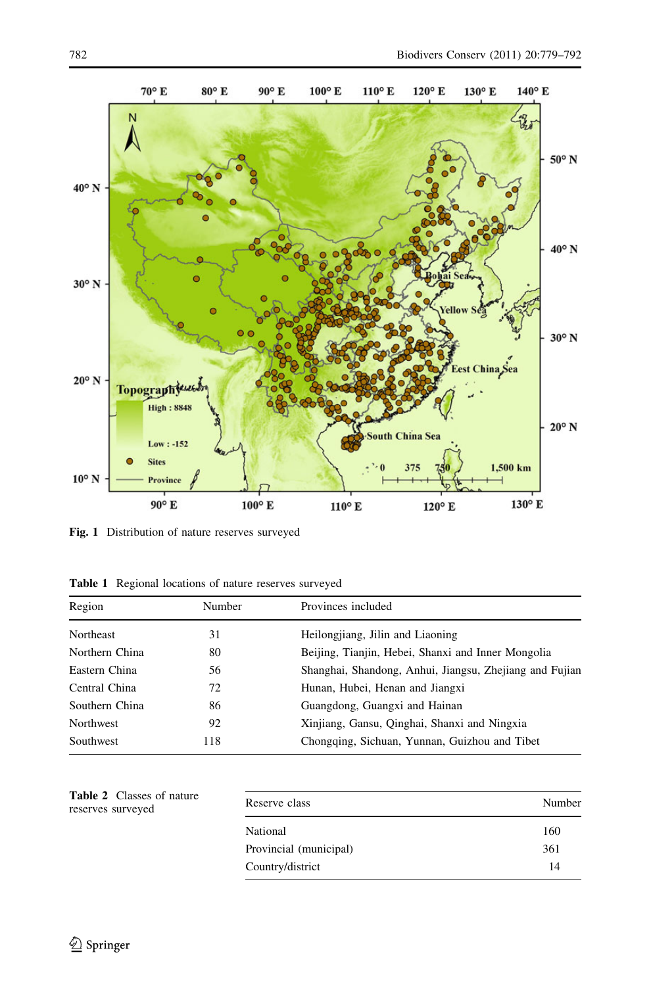<span id="page-3-0"></span>

Fig. 1 Distribution of nature reserves surveyed

Table 1 Regional locations of nature reserves surveyed

| Region           | Number | Provinces included                                      |
|------------------|--------|---------------------------------------------------------|
| Northeast        | 31     | Heilongjiang, Jilin and Liaoning                        |
| Northern China   | 80     | Beijing, Tianjin, Hebei, Shanxi and Inner Mongolia      |
| Eastern China    | 56     | Shanghai, Shandong, Anhui, Jiangsu, Zhejiang and Fujian |
| Central China    | 72     | Hunan, Hubei, Henan and Jiangxi                         |
| Southern China   | 86     | Guangdong, Guangxi and Hainan                           |
| Northwest        | 92     | Xinjiang, Gansu, Qinghai, Shanxi and Ningxia            |
| <b>Southwest</b> | 118    | Chongqing, Sichuan, Yunnan, Guizhou and Tibet           |

| <b>Table 2</b> Classes of nature |  |
|----------------------------------|--|
| reserves surveyed                |  |

| <b>Table 2</b> Classes of nature<br>reserves surveyed | Reserve class          | Number |
|-------------------------------------------------------|------------------------|--------|
|                                                       | National               | 160    |
|                                                       | Provincial (municipal) | 361    |
|                                                       | Country/district       | 14     |
|                                                       |                        |        |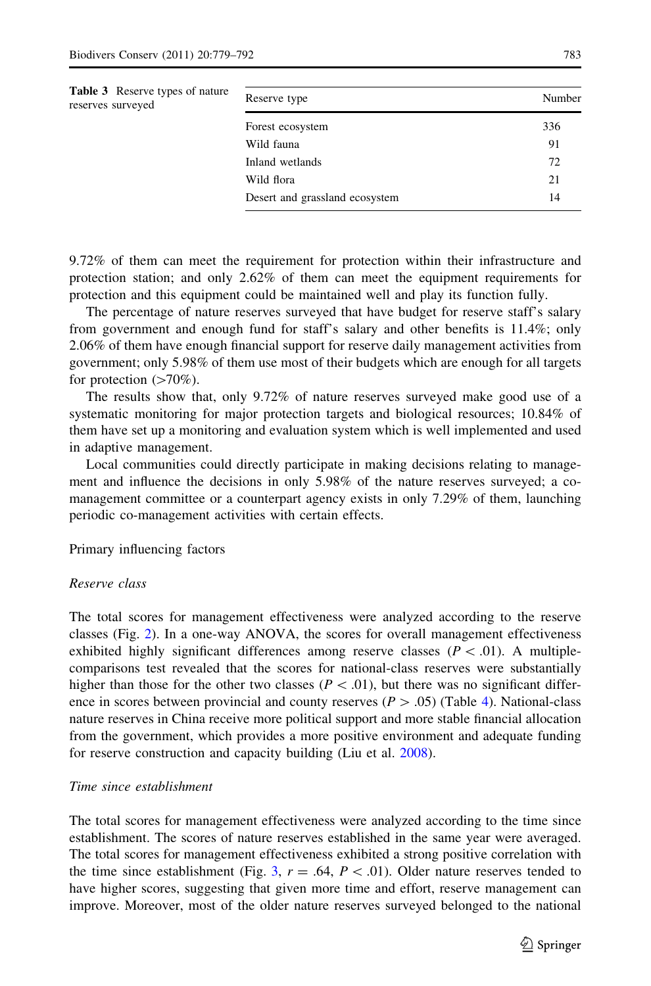<span id="page-4-0"></span>

| <b>Table 3</b> Reserve types of nature<br>reserves surveyed | Reserve type                   | Number |  |
|-------------------------------------------------------------|--------------------------------|--------|--|
|                                                             | Forest ecosystem               | 336    |  |
|                                                             | Wild fauna                     | 91     |  |
|                                                             | Inland wetlands                | 72     |  |
|                                                             | Wild flora                     | 21     |  |
|                                                             | Desert and grassland ecosystem | 14     |  |

9.72% of them can meet the requirement for protection within their infrastructure and protection station; and only 2.62% of them can meet the equipment requirements for protection and this equipment could be maintained well and play its function fully.

The percentage of nature reserves surveyed that have budget for reserve staff's salary from government and enough fund for staff's salary and other benefits is 11.4%; only 2.06% of them have enough financial support for reserve daily management activities from government; only 5.98% of them use most of their budgets which are enough for all targets for protection  $(>=70\%)$ .

The results show that, only 9.72% of nature reserves surveyed make good use of a systematic monitoring for major protection targets and biological resources; 10.84% of them have set up a monitoring and evaluation system which is well implemented and used in adaptive management.

Local communities could directly participate in making decisions relating to management and influence the decisions in only 5.98% of the nature reserves surveyed; a comanagement committee or a counterpart agency exists in only 7.29% of them, launching periodic co-management activities with certain effects.

Primary influencing factors

## Reserve class

The total scores for management effectiveness were analyzed according to the reserve classes (Fig. [2](#page-5-0)). In a one-way ANOVA, the scores for overall management effectiveness exhibited highly significant differences among reserve classes  $(P \lt 0.01)$ . A multiplecomparisons test revealed that the scores for national-class reserves were substantially higher than those for the other two classes ( $P \lt 0.01$ ), but there was no significant difference in scores between provincial and county reserves ( $P > .05$ ) (Table [4](#page-5-0)). National-class nature reserves in China receive more political support and more stable financial allocation from the government, which provides a more positive environment and adequate funding for reserve construction and capacity building (Liu et al. [2008\)](#page-12-0).

## Time since establishment

The total scores for management effectiveness were analyzed according to the time since establishment. The scores of nature reserves established in the same year were averaged. The total scores for management effectiveness exhibited a strong positive correlation with the time since establishment (Fig. [3,](#page-6-0)  $r = .64$ ,  $P \lt .01$ ). Older nature reserves tended to have higher scores, suggesting that given more time and effort, reserve management can improve. Moreover, most of the older nature reserves surveyed belonged to the national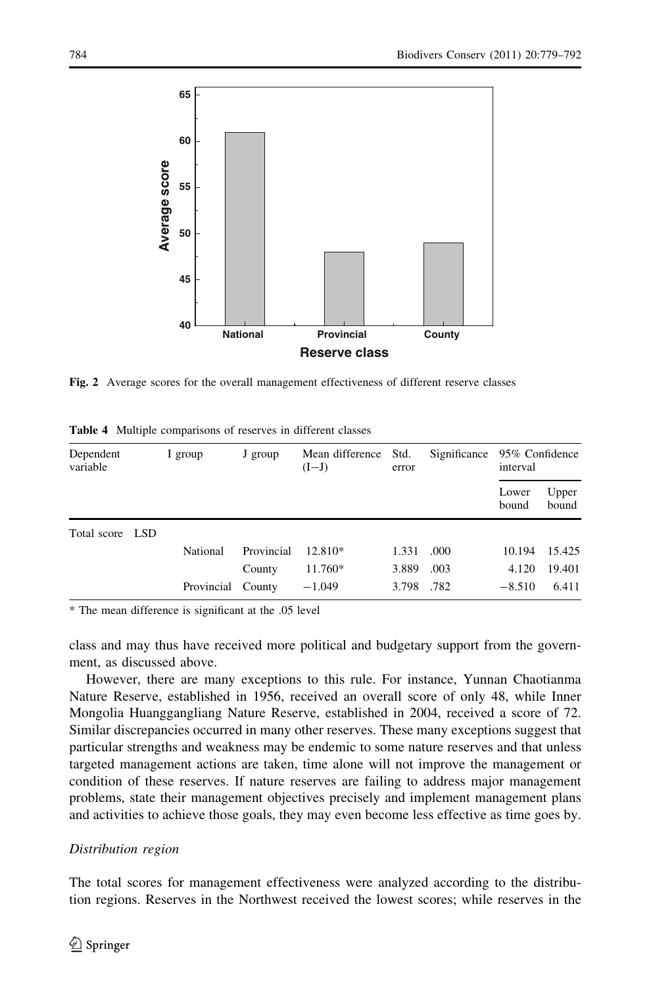<span id="page-5-0"></span>

Fig. 2 Average scores for the overall management effectiveness of different reserve classes

| Dependent<br>variable | I group    | J group    | Mean difference<br>$(I-J)$ | Std.<br>error | Significance | 95% Confidence<br>interval |                |
|-----------------------|------------|------------|----------------------------|---------------|--------------|----------------------------|----------------|
|                       |            |            |                            |               |              | Lower<br>bound             | Upper<br>bound |
| Total score LSD       |            |            |                            |               |              |                            |                |
|                       | National   | Provincial | 12.810*                    | 1.331         | .000         | 10.194                     | 15.425         |
|                       |            | County     | 11.760*                    | 3.889         | .003         | 4.120                      | 19.401         |
|                       | Provincial | County     | $-1.049$                   | 3.798         | .782         | $-8.510$                   | 6.411          |

Table 4 Multiple comparisons of reserves in different classes

\* The mean difference is significant at the .05 level

class and may thus have received more political and budgetary support from the government, as discussed above.

However, there are many exceptions to this rule. For instance, Yunnan Chaotianma Nature Reserve, established in 1956, received an overall score of only 48, while Inner Mongolia Huanggangliang Nature Reserve, established in 2004, received a score of 72. Similar discrepancies occurred in many other reserves. These many exceptions suggest that particular strengths and weakness may be endemic to some nature reserves and that unless targeted management actions are taken, time alone will not improve the management or condition of these reserves. If nature reserves are failing to address major management problems, state their management objectives precisely and implement management plans and activities to achieve those goals, they may even become less effective as time goes by.

## Distribution region

The total scores for management effectiveness were analyzed according to the distribution regions. Reserves in the Northwest received the lowest scores; while reserves in the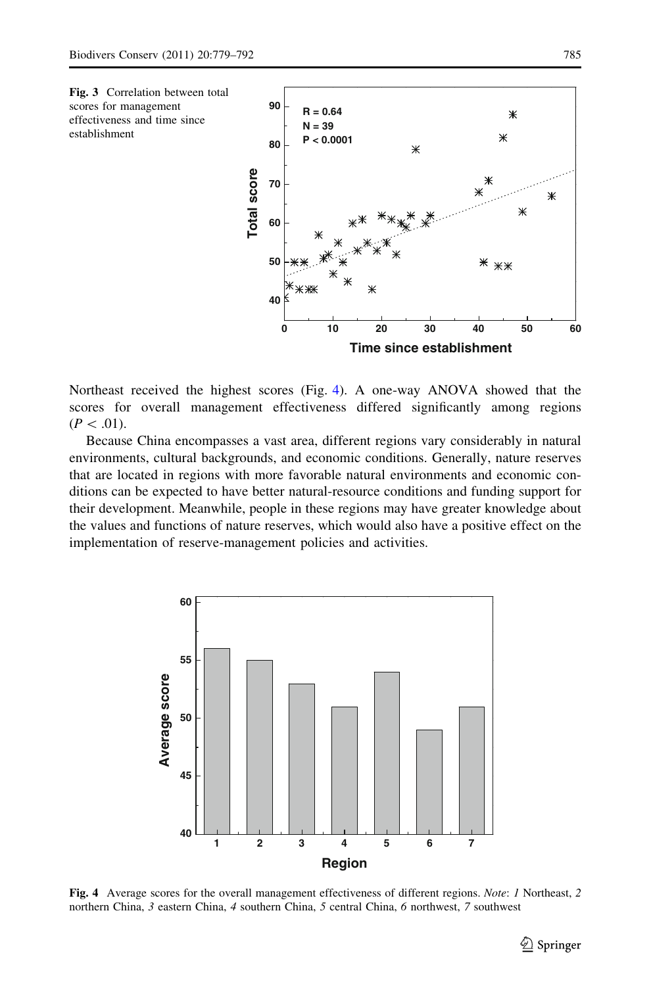<span id="page-6-0"></span>

Northeast received the highest scores (Fig. 4). A one-way ANOVA showed that the scores for overall management effectiveness differed significantly among regions  $(P < .01)$ .

Because China encompasses a vast area, different regions vary considerably in natural environments, cultural backgrounds, and economic conditions. Generally, nature reserves that are located in regions with more favorable natural environments and economic conditions can be expected to have better natural-resource conditions and funding support for their development. Meanwhile, people in these regions may have greater knowledge about the values and functions of nature reserves, which would also have a positive effect on the implementation of reserve-management policies and activities.



Fig. 4 Average scores for the overall management effectiveness of different regions. Note: 1 Northeast, 2 northern China, 3 eastern China, 4 southern China, 5 central China, 6 northwest, 7 southwest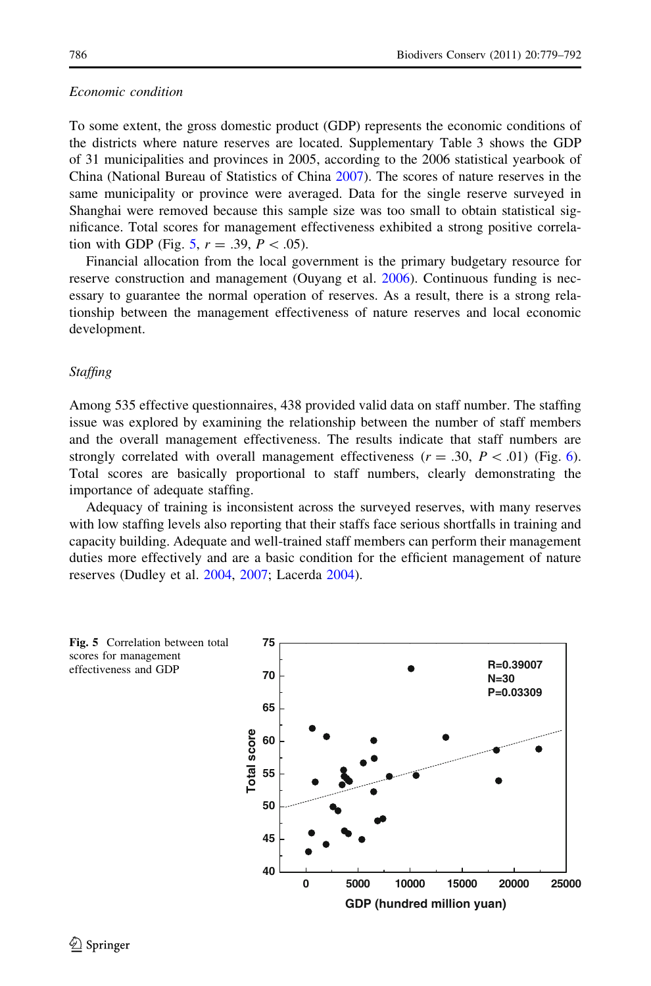## Economic condition

To some extent, the gross domestic product (GDP) represents the economic conditions of the districts where nature reserves are located. Supplementary Table 3 shows the GDP of 31 municipalities and provinces in 2005, according to the 2006 statistical yearbook of China (National Bureau of Statistics of China [2007\)](#page-12-0). The scores of nature reserves in the same municipality or province were averaged. Data for the single reserve surveyed in Shanghai were removed because this sample size was too small to obtain statistical significance. Total scores for management effectiveness exhibited a strong positive correlation with GDP (Fig. 5,  $r = .39, P < .05$ ).

Financial allocation from the local government is the primary budgetary resource for reserve construction and management (Ouyang et al. [2006\)](#page-13-0). Continuous funding is necessary to guarantee the normal operation of reserves. As a result, there is a strong relationship between the management effectiveness of nature reserves and local economic development.

## **Staffing**

Among 535 effective questionnaires, 438 provided valid data on staff number. The staffing issue was explored by examining the relationship between the number of staff members and the overall management effectiveness. The results indicate that staff numbers are strongly correlated with overall management effectiveness ( $r = .30$ ,  $P \lt .01$ ) (Fig. [6](#page-8-0)). Total scores are basically proportional to staff numbers, clearly demonstrating the importance of adequate staffing.

Adequacy of training is inconsistent across the surveyed reserves, with many reserves with low staffing levels also reporting that their staffs face serious shortfalls in training and capacity building. Adequate and well-trained staff members can perform their management duties more effectively and are a basic condition for the efficient management of nature reserves (Dudley et al. [2004,](#page-12-0) [2007;](#page-12-0) Lacerda [2004\)](#page-12-0).

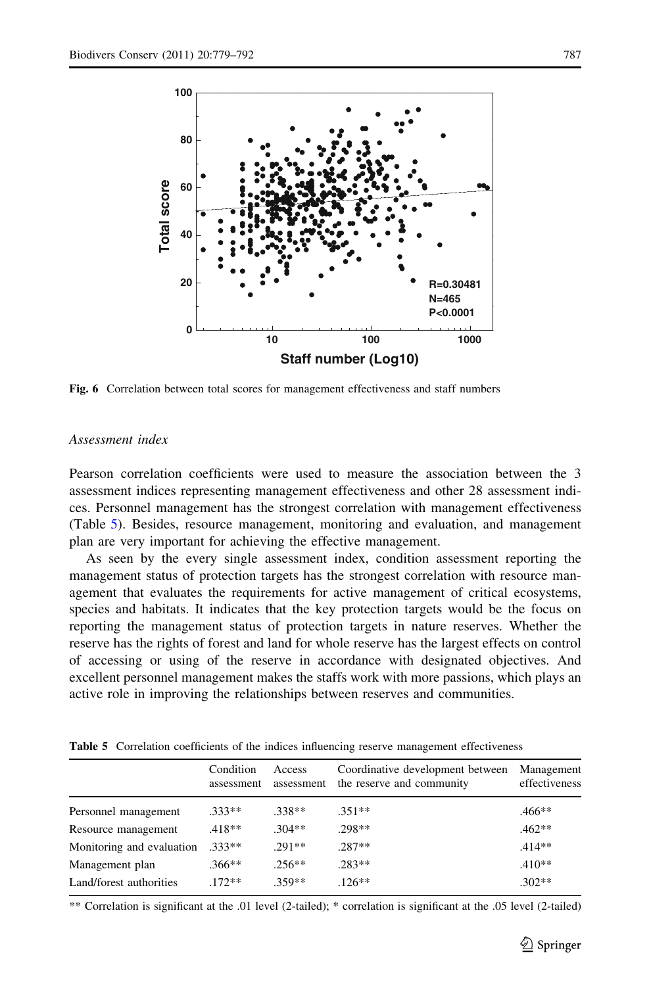<span id="page-8-0"></span>

Fig. 6 Correlation between total scores for management effectiveness and staff numbers

## Assessment index

Pearson correlation coefficients were used to measure the association between the 3 assessment indices representing management effectiveness and other 28 assessment indices. Personnel management has the strongest correlation with management effectiveness (Table 5). Besides, resource management, monitoring and evaluation, and management plan are very important for achieving the effective management.

As seen by the every single assessment index, condition assessment reporting the management status of protection targets has the strongest correlation with resource management that evaluates the requirements for active management of critical ecosystems, species and habitats. It indicates that the key protection targets would be the focus on reporting the management status of protection targets in nature reserves. Whether the reserve has the rights of forest and land for whole reserve has the largest effects on control of accessing or using of the reserve in accordance with designated objectives. And excellent personnel management makes the staffs work with more passions, which plays an active role in improving the relationships between reserves and communities.

|                           | Condition<br>assessment | Access<br>assessment | Coordinative development between<br>the reserve and community | Management<br>effectiveness |
|---------------------------|-------------------------|----------------------|---------------------------------------------------------------|-----------------------------|
| Personnel management      | $.333**$                | $.338**$             | $.351**$                                                      | .466**                      |
| Resource management       | $.418**$                | $.304**$             | 298**                                                         | $.462**$                    |
| Monitoring and evaluation | $.333**$                | $.291**$             | $287**$                                                       | $.414**$                    |
| Management plan           | $.366**$                | $.256**$             | $.283**$                                                      | $.410**$                    |
| Land/forest authorities   | $172**$                 | .359**               | $.126**$                                                      | $.302**$                    |
|                           |                         |                      |                                                               |                             |

Table 5 Correlation coefficients of the indices influencing reserve management effectiveness

\*\* Correlation is significant at the .01 level (2-tailed); \* correlation is significant at the .05 level (2-tailed)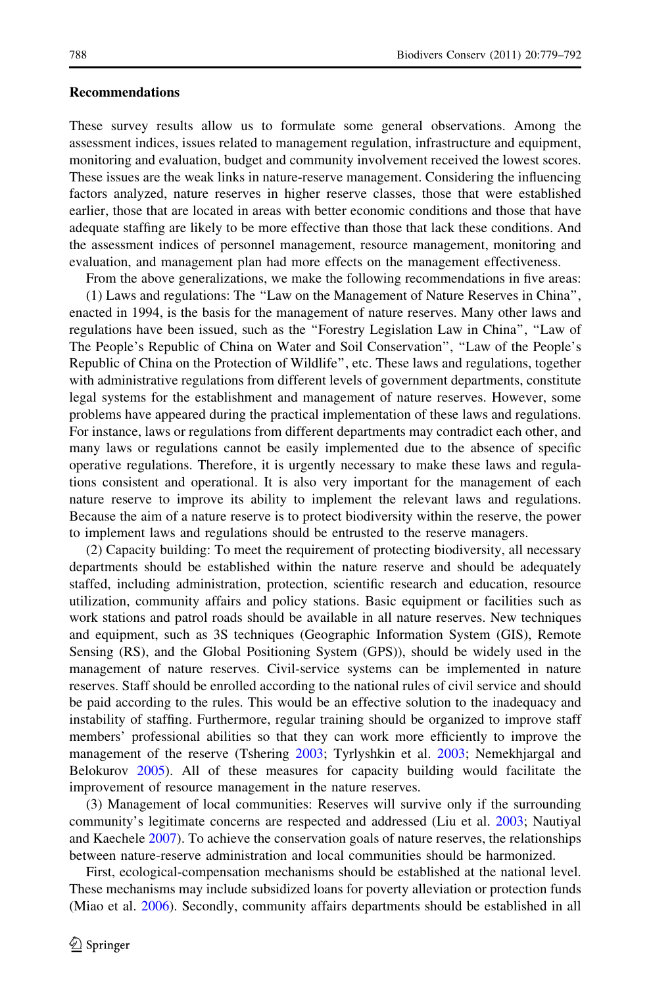## Recommendations

These survey results allow us to formulate some general observations. Among the assessment indices, issues related to management regulation, infrastructure and equipment, monitoring and evaluation, budget and community involvement received the lowest scores. These issues are the weak links in nature-reserve management. Considering the influencing factors analyzed, nature reserves in higher reserve classes, those that were established earlier, those that are located in areas with better economic conditions and those that have adequate staffing are likely to be more effective than those that lack these conditions. And the assessment indices of personnel management, resource management, monitoring and evaluation, and management plan had more effects on the management effectiveness.

From the above generalizations, we make the following recommendations in five areas:

(1) Laws and regulations: The ''Law on the Management of Nature Reserves in China'', enacted in 1994, is the basis for the management of nature reserves. Many other laws and regulations have been issued, such as the ''Forestry Legislation Law in China'', ''Law of The People's Republic of China on Water and Soil Conservation'', ''Law of the People's Republic of China on the Protection of Wildlife'', etc. These laws and regulations, together with administrative regulations from different levels of government departments, constitute legal systems for the establishment and management of nature reserves. However, some problems have appeared during the practical implementation of these laws and regulations. For instance, laws or regulations from different departments may contradict each other, and many laws or regulations cannot be easily implemented due to the absence of specific operative regulations. Therefore, it is urgently necessary to make these laws and regulations consistent and operational. It is also very important for the management of each nature reserve to improve its ability to implement the relevant laws and regulations. Because the aim of a nature reserve is to protect biodiversity within the reserve, the power to implement laws and regulations should be entrusted to the reserve managers.

(2) Capacity building: To meet the requirement of protecting biodiversity, all necessary departments should be established within the nature reserve and should be adequately staffed, including administration, protection, scientific research and education, resource utilization, community affairs and policy stations. Basic equipment or facilities such as work stations and patrol roads should be available in all nature reserves. New techniques and equipment, such as 3S techniques (Geographic Information System (GIS), Remote Sensing (RS), and the Global Positioning System (GPS)), should be widely used in the management of nature reserves. Civil-service systems can be implemented in nature reserves. Staff should be enrolled according to the national rules of civil service and should be paid according to the rules. This would be an effective solution to the inadequacy and instability of staffing. Furthermore, regular training should be organized to improve staff members' professional abilities so that they can work more efficiently to improve the management of the reserve (Tshering [2003](#page-13-0); Tyrlyshkin et al. [2003](#page-13-0); Nemekhjargal and Belokurov [2005](#page-12-0)). All of these measures for capacity building would facilitate the improvement of resource management in the nature reserves.

(3) Management of local communities: Reserves will survive only if the surrounding community's legitimate concerns are respected and addressed (Liu et al. [2003;](#page-12-0) Nautiyal and Kaechele [2007](#page-12-0)). To achieve the conservation goals of nature reserves, the relationships between nature-reserve administration and local communities should be harmonized.

First, ecological-compensation mechanisms should be established at the national level. These mechanisms may include subsidized loans for poverty alleviation or protection funds (Miao et al. [2006](#page-12-0)). Secondly, community affairs departments should be established in all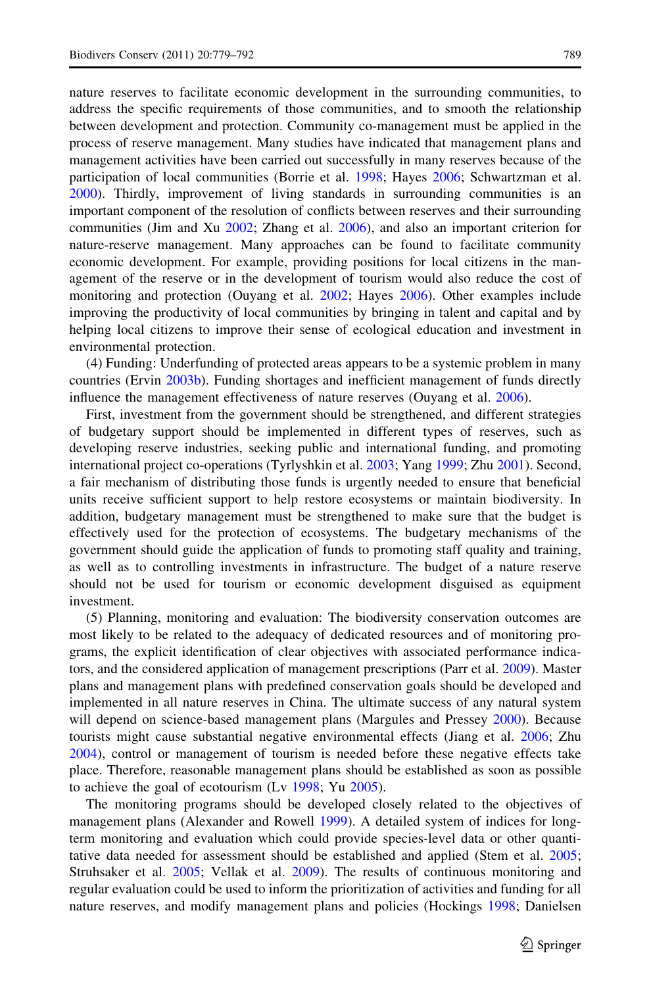nature reserves to facilitate economic development in the surrounding communities, to address the specific requirements of those communities, and to smooth the relationship between development and protection. Community co-management must be applied in the process of reserve management. Many studies have indicated that management plans and management activities have been carried out successfully in many reserves because of the participation of local communities (Borrie et al. [1998;](#page-11-0) Hayes [2006](#page-12-0); Schwartzman et al. [2000\)](#page-13-0). Thirdly, improvement of living standards in surrounding communities is an important component of the resolution of conflicts between reserves and their surrounding communities (Jim and Xu [2002](#page-12-0); Zhang et al. [2006](#page-13-0)), and also an important criterion for nature-reserve management. Many approaches can be found to facilitate community economic development. For example, providing positions for local citizens in the management of the reserve or in the development of tourism would also reduce the cost of monitoring and protection (Ouyang et al. [2002](#page-13-0); Hayes [2006\)](#page-12-0). Other examples include improving the productivity of local communities by bringing in talent and capital and by helping local citizens to improve their sense of ecological education and investment in environmental protection.

(4) Funding: Underfunding of protected areas appears to be a systemic problem in many countries (Ervin [2003b\)](#page-12-0). Funding shortages and inefficient management of funds directly influence the management effectiveness of nature reserves (Ouyang et al. [2006\)](#page-13-0).

First, investment from the government should be strengthened, and different strategies of budgetary support should be implemented in different types of reserves, such as developing reserve industries, seeking public and international funding, and promoting international project co-operations (Tyrlyshkin et al. [2003](#page-13-0); Yang [1999](#page-13-0); Zhu [2001\)](#page-13-0). Second, a fair mechanism of distributing those funds is urgently needed to ensure that beneficial units receive sufficient support to help restore ecosystems or maintain biodiversity. In addition, budgetary management must be strengthened to make sure that the budget is effectively used for the protection of ecosystems. The budgetary mechanisms of the government should guide the application of funds to promoting staff quality and training, as well as to controlling investments in infrastructure. The budget of a nature reserve should not be used for tourism or economic development disguised as equipment investment.

(5) Planning, monitoring and evaluation: The biodiversity conservation outcomes are most likely to be related to the adequacy of dedicated resources and of monitoring programs, the explicit identification of clear objectives with associated performance indicators, and the considered application of management prescriptions (Parr et al. [2009](#page-13-0)). Master plans and management plans with predefined conservation goals should be developed and implemented in all nature reserves in China. The ultimate success of any natural system will depend on science-based management plans (Margules and Pressey [2000\)](#page-12-0). Because tourists might cause substantial negative environmental effects (Jiang et al. [2006;](#page-12-0) Zhu [2004\)](#page-13-0), control or management of tourism is needed before these negative effects take place. Therefore, reasonable management plans should be established as soon as possible to achieve the goal of ecotourism (Lv [1998;](#page-12-0) Yu [2005](#page-13-0)).

The monitoring programs should be developed closely related to the objectives of management plans (Alexander and Rowell [1999\)](#page-11-0). A detailed system of indices for longterm monitoring and evaluation which could provide species-level data or other quantitative data needed for assessment should be established and applied (Stem et al. [2005;](#page-13-0) Struhsaker et al. [2005](#page-13-0); Vellak et al. [2009](#page-13-0)). The results of continuous monitoring and regular evaluation could be used to inform the prioritization of activities and funding for all nature reserves, and modify management plans and policies (Hockings [1998](#page-12-0); Danielsen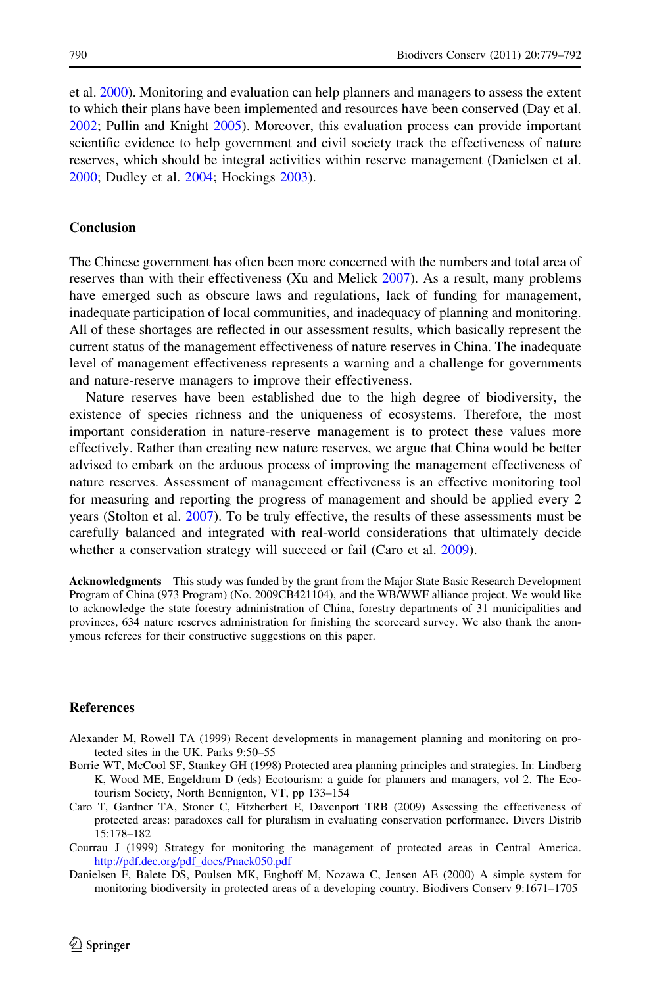<span id="page-11-0"></span>et al. 2000). Monitoring and evaluation can help planners and managers to assess the extent to which their plans have been implemented and resources have been conserved (Day et al. [2002;](#page-12-0) Pullin and Knight [2005](#page-13-0)). Moreover, this evaluation process can provide important scientific evidence to help government and civil society track the effectiveness of nature reserves, which should be integral activities within reserve management (Danielsen et al. 2000; Dudley et al. [2004;](#page-12-0) Hockings [2003](#page-12-0)).

# Conclusion

The Chinese government has often been more concerned with the numbers and total area of reserves than with their effectiveness (Xu and Melick [2007](#page-13-0)). As a result, many problems have emerged such as obscure laws and regulations, lack of funding for management, inadequate participation of local communities, and inadequacy of planning and monitoring. All of these shortages are reflected in our assessment results, which basically represent the current status of the management effectiveness of nature reserves in China. The inadequate level of management effectiveness represents a warning and a challenge for governments and nature-reserve managers to improve their effectiveness.

Nature reserves have been established due to the high degree of biodiversity, the existence of species richness and the uniqueness of ecosystems. Therefore, the most important consideration in nature-reserve management is to protect these values more effectively. Rather than creating new nature reserves, we argue that China would be better advised to embark on the arduous process of improving the management effectiveness of nature reserves. Assessment of management effectiveness is an effective monitoring tool for measuring and reporting the progress of management and should be applied every 2 years (Stolton et al. [2007](#page-13-0)). To be truly effective, the results of these assessments must be carefully balanced and integrated with real-world considerations that ultimately decide whether a conservation strategy will succeed or fail (Caro et al. 2009).

Acknowledgments This study was funded by the grant from the Major State Basic Research Development Program of China (973 Program) (No. 2009CB421104), and the WB/WWF alliance project. We would like to acknowledge the state forestry administration of China, forestry departments of 31 municipalities and provinces, 634 nature reserves administration for finishing the scorecard survey. We also thank the anonymous referees for their constructive suggestions on this paper.

## **References**

- Alexander M, Rowell TA (1999) Recent developments in management planning and monitoring on protected sites in the UK. Parks 9:50–55
- Borrie WT, McCool SF, Stankey GH (1998) Protected area planning principles and strategies. In: Lindberg K, Wood ME, Engeldrum D (eds) Ecotourism: a guide for planners and managers, vol 2. The Ecotourism Society, North Bennignton, VT, pp 133–154
- Caro T, Gardner TA, Stoner C, Fitzherbert E, Davenport TRB (2009) Assessing the effectiveness of protected areas: paradoxes call for pluralism in evaluating conservation performance. Divers Distrib 15:178–182

Courrau J (1999) Strategy for monitoring the management of protected areas in Central America. [http://pdf.dec.org/pdf\\_docs/Pnack050.pdf](http://pdf.dec.org/pdf_docs/Pnack050.pdf)

Danielsen F, Balete DS, Poulsen MK, Enghoff M, Nozawa C, Jensen AE (2000) A simple system for monitoring biodiversity in protected areas of a developing country. Biodivers Conserv 9:1671–1705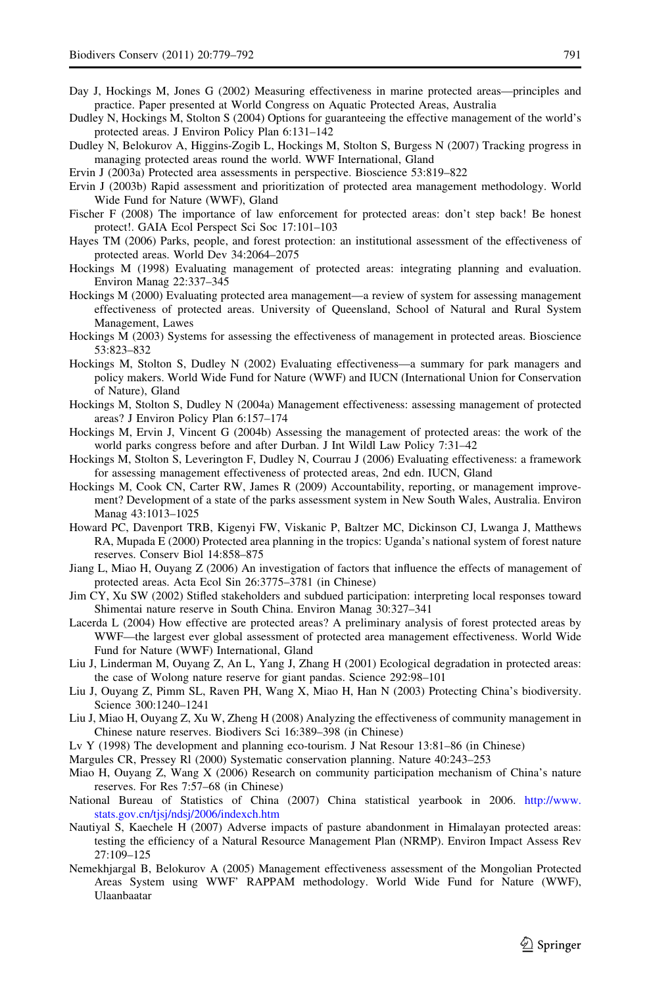- <span id="page-12-0"></span>Day J, Hockings M, Jones G (2002) Measuring effectiveness in marine protected areas—principles and practice. Paper presented at World Congress on Aquatic Protected Areas, Australia
- Dudley N, Hockings M, Stolton S (2004) Options for guaranteeing the effective management of the world's protected areas. J Environ Policy Plan 6:131–142
- Dudley N, Belokurov A, Higgins-Zogib L, Hockings M, Stolton S, Burgess N (2007) Tracking progress in managing protected areas round the world. WWF International, Gland

Ervin J (2003a) Protected area assessments in perspective. Bioscience 53:819–822

- Ervin J (2003b) Rapid assessment and prioritization of protected area management methodology. World Wide Fund for Nature (WWF), Gland
- Fischer F (2008) The importance of law enforcement for protected areas: don't step back! Be honest protect!. GAIA Ecol Perspect Sci Soc 17:101–103
- Hayes TM (2006) Parks, people, and forest protection: an institutional assessment of the effectiveness of protected areas. World Dev 34:2064–2075
- Hockings M (1998) Evaluating management of protected areas: integrating planning and evaluation. Environ Manag 22:337–345
- Hockings M (2000) Evaluating protected area management—a review of system for assessing management effectiveness of protected areas. University of Queensland, School of Natural and Rural System Management, Lawes
- Hockings M (2003) Systems for assessing the effectiveness of management in protected areas. Bioscience 53:823–832
- Hockings M, Stolton S, Dudley N (2002) Evaluating effectiveness—a summary for park managers and policy makers. World Wide Fund for Nature (WWF) and IUCN (International Union for Conservation of Nature), Gland
- Hockings M, Stolton S, Dudley N (2004a) Management effectiveness: assessing management of protected areas? J Environ Policy Plan 6:157–174
- Hockings M, Ervin J, Vincent G (2004b) Assessing the management of protected areas: the work of the world parks congress before and after Durban. J Int Wildl Law Policy 7:31–42
- Hockings M, Stolton S, Leverington F, Dudley N, Courrau J (2006) Evaluating effectiveness: a framework for assessing management effectiveness of protected areas, 2nd edn. IUCN, Gland
- Hockings M, Cook CN, Carter RW, James R (2009) Accountability, reporting, or management improvement? Development of a state of the parks assessment system in New South Wales, Australia. Environ Manag 43:1013–1025
- Howard PC, Davenport TRB, Kigenyi FW, Viskanic P, Baltzer MC, Dickinson CJ, Lwanga J, Matthews RA, Mupada E (2000) Protected area planning in the tropics: Uganda's national system of forest nature reserves. Conserv Biol 14:858–875
- Jiang L, Miao H, Ouyang Z (2006) An investigation of factors that influence the effects of management of protected areas. Acta Ecol Sin 26:3775–3781 (in Chinese)
- Jim CY, Xu SW (2002) Stifled stakeholders and subdued participation: interpreting local responses toward Shimentai nature reserve in South China. Environ Manag 30:327–341
- Lacerda L (2004) How effective are protected areas? A preliminary analysis of forest protected areas by WWF—the largest ever global assessment of protected area management effectiveness. World Wide Fund for Nature (WWF) International, Gland
- Liu J, Linderman M, Ouyang Z, An L, Yang J, Zhang H (2001) Ecological degradation in protected areas: the case of Wolong nature reserve for giant pandas. Science 292:98–101
- Liu J, Ouyang Z, Pimm SL, Raven PH, Wang X, Miao H, Han N (2003) Protecting China's biodiversity. Science 300:1240–1241
- Liu J, Miao H, Ouyang Z, Xu W, Zheng H (2008) Analyzing the effectiveness of community management in Chinese nature reserves. Biodivers Sci 16:389–398 (in Chinese)
- Lv Y (1998) The development and planning eco-tourism. J Nat Resour 13:81–86 (in Chinese)
- Margules CR, Pressey Rl (2000) Systematic conservation planning. Nature 40:243–253
- Miao H, Ouyang Z, Wang X (2006) Research on community participation mechanism of China's nature reserves. For Res 7:57–68 (in Chinese)
- National Bureau of Statistics of China (2007) China statistical yearbook in 2006. [http://www.](http://www.stats.gov.cn/tjsj/ndsj/2006/indexch.htm) [stats.gov.cn/tjsj/ndsj/2006/indexch.htm](http://www.stats.gov.cn/tjsj/ndsj/2006/indexch.htm)
- Nautiyal S, Kaechele H (2007) Adverse impacts of pasture abandonment in Himalayan protected areas: testing the efficiency of a Natural Resource Management Plan (NRMP). Environ Impact Assess Rev 27:109–125
- Nemekhjargal B, Belokurov A (2005) Management effectiveness assessment of the Mongolian Protected Areas System using WWF' RAPPAM methodology. World Wide Fund for Nature (WWF), Ulaanbaatar